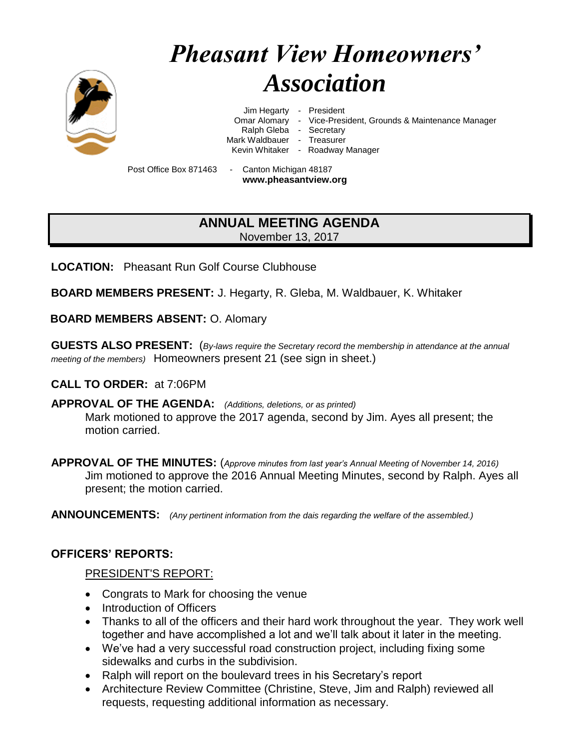

# *Pheasant View Homeowners' Association*

Jim Hegarty - President

Omar Alomary - Vice-President, Grounds & Maintenance Manager

Ralph Gleba - Secretary

Mark Waldbauer - Treasurer

Kevin Whitaker - Roadway Manager

Post Office Box 871463 - Canton Michigan 48187 **www.pheasantview.org**

# **ANNUAL MEETING AGENDA** November 13, 2017

**LOCATION:** Pheasant Run Golf Course Clubhouse

**BOARD MEMBERS PRESENT:** J. Hegarty, R. Gleba, M. Waldbauer, K. Whitaker

**BOARD MEMBERS ABSENT:** O. Alomary

**GUESTS ALSO PRESENT:** (*By-laws require the Secretary record the membership in attendance at the annual meeting of the members)* Homeowners present 21 (see sign in sheet.)

**CALL TO ORDER:** at 7:06PM

**APPROVAL OF THE AGENDA:** *(Additions, deletions, or as printed)* Mark motioned to approve the 2017 agenda, second by Jim. Ayes all present; the motion carried.

**APPROVAL OF THE MINUTES:** (*Approve minutes from last year's Annual Meeting of November 14, 2016)* Jim motioned to approve the 2016 Annual Meeting Minutes, second by Ralph. Ayes all present; the motion carried.

**ANNOUNCEMENTS:** *(Any pertinent information from the dais regarding the welfare of the assembled.)*

## **OFFICERS' REPORTS:**

#### PRESIDENT'S REPORT:

- Congrats to Mark for choosing the venue
- Introduction of Officers
- Thanks to all of the officers and their hard work throughout the year. They work well together and have accomplished a lot and we'll talk about it later in the meeting.
- We've had a very successful road construction project, including fixing some sidewalks and curbs in the subdivision.
- Ralph will report on the boulevard trees in his Secretary's report
- Architecture Review Committee (Christine, Steve, Jim and Ralph) reviewed all requests, requesting additional information as necessary.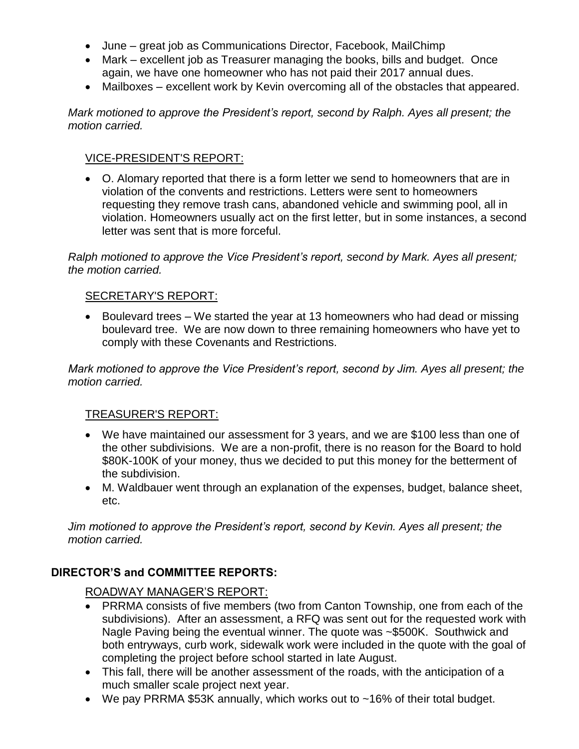- June great job as Communications Director, Facebook, MailChimp
- Mark excellent job as Treasurer managing the books, bills and budget. Once again, we have one homeowner who has not paid their 2017 annual dues.
- Mailboxes excellent work by Kevin overcoming all of the obstacles that appeared.

*Mark motioned to approve the President's report, second by Ralph. Ayes all present; the motion carried.*

#### VICE-PRESIDENT'S REPORT:

• O. Alomary reported that there is a form letter we send to homeowners that are in violation of the convents and restrictions. Letters were sent to homeowners requesting they remove trash cans, abandoned vehicle and swimming pool, all in violation. Homeowners usually act on the first letter, but in some instances, a second letter was sent that is more forceful.

*Ralph motioned to approve the Vice President's report, second by Mark. Ayes all present; the motion carried.*

#### SECRETARY'S REPORT:

• Boulevard trees – We started the year at 13 homeowners who had dead or missing boulevard tree. We are now down to three remaining homeowners who have yet to comply with these Covenants and Restrictions.

*Mark motioned to approve the Vice President's report, second by Jim. Ayes all present; the motion carried.*

#### TREASURER'S REPORT:

- We have maintained our assessment for 3 years, and we are \$100 less than one of the other subdivisions. We are a non-profit, there is no reason for the Board to hold \$80K-100K of your money, thus we decided to put this money for the betterment of the subdivision.
- M. Waldbauer went through an explanation of the expenses, budget, balance sheet, etc.

*Jim motioned to approve the President's report, second by Kevin. Ayes all present; the motion carried.*

## **DIRECTOR'S and COMMITTEE REPORTS:**

ROADWAY MANAGER'S REPORT:

- PRRMA consists of five members (two from Canton Township, one from each of the subdivisions). After an assessment, a RFQ was sent out for the requested work with Nagle Paving being the eventual winner. The quote was ~\$500K. Southwick and both entryways, curb work, sidewalk work were included in the quote with the goal of completing the project before school started in late August.
- This fall, there will be another assessment of the roads, with the anticipation of a much smaller scale project next year.
- We pay PRRMA \$53K annually, which works out to ~16% of their total budget.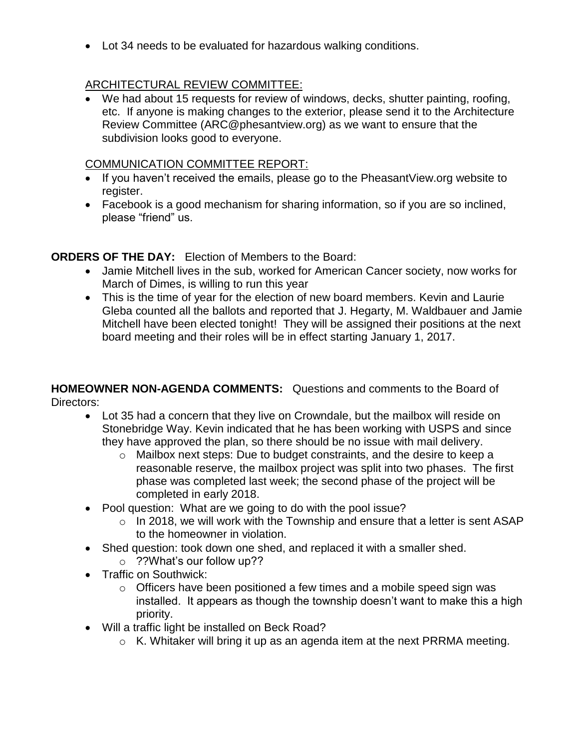• Lot 34 needs to be evaluated for hazardous walking conditions.

# ARCHITECTURAL REVIEW COMMITTEE:

• We had about 15 requests for review of windows, decks, shutter painting, roofing, etc. If anyone is making changes to the exterior, please send it to the Architecture Review Committee (ARC@phesantview.org) as we want to ensure that the subdivision looks good to everyone.

## COMMUNICATION COMMITTEE REPORT:

- If you haven't received the emails, please go to the PheasantView.org website to register.
- Facebook is a good mechanism for sharing information, so if you are so inclined, please "friend" us.

# **ORDERS OF THE DAY:** Election of Members to the Board:

- Jamie Mitchell lives in the sub, worked for American Cancer society, now works for March of Dimes, is willing to run this year
- This is the time of year for the election of new board members. Kevin and Laurie Gleba counted all the ballots and reported that J. Hegarty, M. Waldbauer and Jamie Mitchell have been elected tonight! They will be assigned their positions at the next board meeting and their roles will be in effect starting January 1, 2017.

## **HOMEOWNER NON-AGENDA COMMENTS:** Questions and comments to the Board of Directors:

- Lot 35 had a concern that they live on Crowndale, but the mailbox will reside on Stonebridge Way. Kevin indicated that he has been working with USPS and since they have approved the plan, so there should be no issue with mail delivery.
	- o Mailbox next steps: Due to budget constraints, and the desire to keep a reasonable reserve, the mailbox project was split into two phases. The first phase was completed last week; the second phase of the project will be completed in early 2018.
- Pool question: What are we going to do with the pool issue?
	- $\circ$  In 2018, we will work with the Township and ensure that a letter is sent ASAP to the homeowner in violation.
- Shed question: took down one shed, and replaced it with a smaller shed. o ??What's our follow up??
- Traffic on Southwick:
	- o Officers have been positioned a few times and a mobile speed sign was installed. It appears as though the township doesn't want to make this a high priority.
- Will a traffic light be installed on Beck Road?
	- $\circ$  K. Whitaker will bring it up as an agenda item at the next PRRMA meeting.